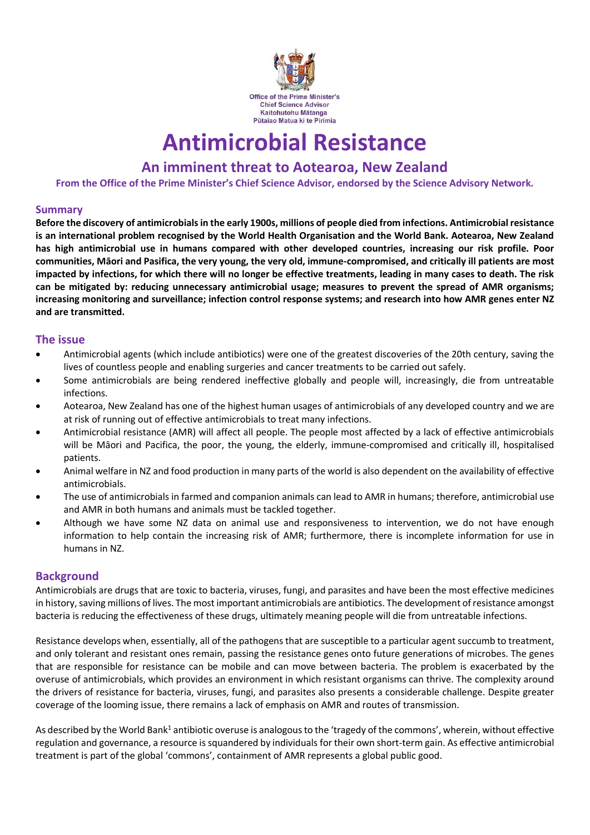

# **Antimicrobial Resistance**

# **An imminent threat to Aotearoa, New Zealand**

**From the Office of the Prime Minister's Chief Science Advisor, endorsed by the Science Advisory Network.**

#### **Summary**

**Before the discovery of antimicrobials in the early 1900s, millions of people died from infections. Antimicrobial resistance is an international problem recognised by the World Health Organisation and the World Bank. Aotearoa, New Zealand has high antimicrobial use in humans compared with other developed countries, increasing our risk profile. Poor communities, Māori and Pasifica, the very young, the very old, immune-compromised, and critically ill patients are most impacted by infections, for which there will no longer be effective treatments, leading in many cases to death. The risk can be mitigated by: reducing unnecessary antimicrobial usage; measures to prevent the spread of AMR organisms; increasing monitoring and surveillance; infection control response systems; and research into how AMR genes enter NZ and are transmitted.**

#### **The issue**

- Antimicrobial agents (which include antibiotics) were one of the greatest discoveries of the 20th century, saving the lives of countless people and enabling surgeries and cancer treatments to be carried out safely.
- Some antimicrobials are being rendered ineffective globally and people will, increasingly, die from untreatable infections.
- Aotearoa, New Zealand has one of the highest human usages of antimicrobials of any developed country and we are at risk of running out of effective antimicrobials to treat many infections.
- Antimicrobial resistance (AMR) will affect all people. The people most affected by a lack of effective antimicrobials will be Māori and Pacifica, the poor, the young, the elderly, immune-compromised and critically ill, hospitalised patients.
- Animal welfare in NZ and food production in many parts of the world is also dependent on the availability of effective antimicrobials.
- The use of antimicrobials in farmed and companion animals can lead to AMR in humans; therefore, antimicrobial use and AMR in both humans and animals must be tackled together.
- Although we have some NZ data on animal use and responsiveness to intervention, we do not have enough information to help contain the increasing risk of AMR; furthermore, there is incomplete information for use in humans in NZ.

#### **Background**

Antimicrobials are drugs that are toxic to bacteria, viruses, fungi, and parasites and have been the most effective medicines in history, saving millions of lives. The most important antimicrobials are antibiotics. The development of resistance amongst bacteria is reducing the effectiveness of these drugs, ultimately meaning people will die from untreatable infections.

Resistance develops when, essentially, all of the pathogens that are susceptible to a particular agent succumb to treatment, and only tolerant and resistant ones remain, passing the resistance genes onto future generations of microbes. The genes that are responsible for resistance can be mobile and can move between bacteria. The problem is exacerbated by the overuse of antimicrobials, which provides an environment in which resistant organisms can thrive. The complexity around the drivers of resistance for bacteria, viruses, fungi, and parasites also presents a considerable challenge. Despite greater coverage of the looming issue, there remains a lack of emphasis on AMR and routes of transmission.

As described by the World Bank<sup>1</sup> antibiotic overuse is analogous to the 'tragedy of the commons', wherein, without effective regulation and governance, a resource is squandered by individuals for their own short-term gain. As effective antimicrobial treatment is part of the global 'commons', containment of AMR represents a global public good.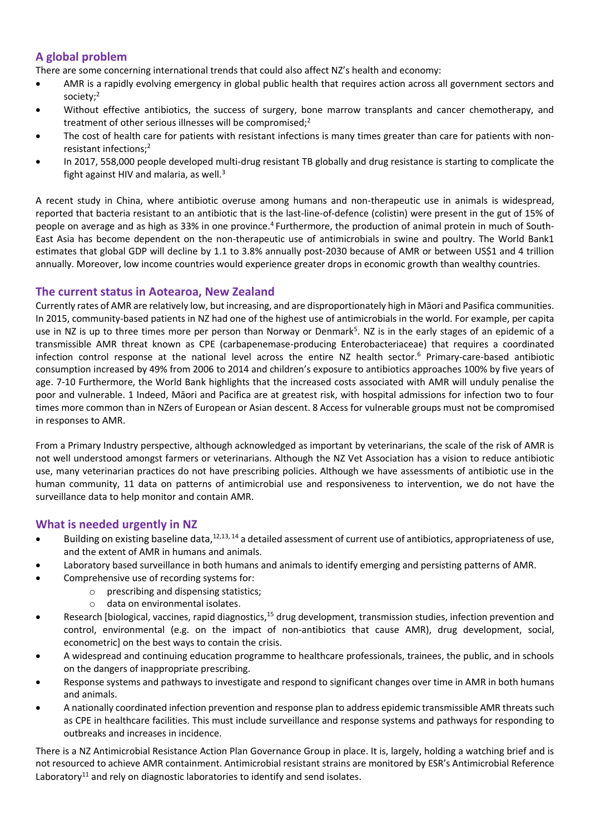## **A global problem**

There are some concerning international trends that could also affect NZ's health and economy:

- AMR is a rapidly evolving emergency in global public health that requires action across all government sectors and society;<sup>2</sup>
- Without effective antibiotics, the success of surgery, bone marrow transplants and cancer chemotherapy, and treatment of other serious illnesses will be compromised;<sup>2</sup>
- The cost of health care for patients with resistant infections is many times greater than care for patients with nonresistant infections;<sup>2</sup>
- In 2017, 558,000 people developed multi-drug resistant TB globally and drug resistance is starting to complicate the fight against HIV and malaria, as well. $3$

A recent study in China, where antibiotic overuse among humans and non-therapeutic use in animals is widespread, reported that bacteria resistant to an antibiotic that is the last-line-of-defence (colistin) were present in the gut of 15% of people on average and as high as 33% in one province.<sup>4</sup> Furthermore, the production of animal protein in much of South-East Asia has become dependent on the non-therapeutic use of antimicrobials in swine and poultry. The World Bank1 estimates that global GDP will decline by 1.1 to 3.8% annually post-2030 because of AMR or between US\$1 and 4 trillion annually. Moreover, low income countries would experience greater drops in economic growth than wealthy countries.

#### **The current status in Aotearoa, New Zealand**

Currently rates of AMR are relatively low, but increasing, and are disproportionately high in Māori and Pasifica communities. In 2015, community-based patients in NZ had one of the highest use of antimicrobials in the world. For example, per capita use in NZ is up to three times more per person than Norway or Denmark<sup>5</sup>. NZ is in the early stages of an epidemic of a transmissible AMR threat known as CPE (carbapenemase-producing Enterobacteriaceae) that requires a coordinated infection control response at the national level across the entire NZ health sector.<sup>6</sup> Primary-care-based antibiotic consumption increased by 49% from 2006 to 2014 and children's exposure to antibiotics approaches 100% by five years of age. 7-10 Furthermore, the World Bank highlights that the increased costs associated with AMR will unduly penalise the poor and vulnerable. 1 Indeed, Māori and Pacifica are at greatest risk, with hospital admissions for infection two to four times more common than in NZers of European or Asian descent. 8 Access for vulnerable groups must not be compromised in responses to AMR.

From a Primary Industry perspective, although acknowledged as important by veterinarians, the scale of the risk of AMR is not well understood amongst farmers or veterinarians. Although the NZ Vet Association has a vision to reduce antibiotic use, many veterinarian practices do not have prescribing policies. Although we have assessments of antibiotic use in the human community, 11 data on patterns of antimicrobial use and responsiveness to intervention, we do not have the surveillance data to help monitor and contain AMR.

## **What is needed urgently in NZ**

- Building on existing baseline data, $12,13, 14$  a detailed assessment of current use of antibiotics, appropriateness of use, and the extent of AMR in humans and animals.
- Laboratory based surveillance in both humans and animals to identify emerging and persisting patterns of AMR.
- Comprehensive use of recording systems for:
	- o prescribing and dispensing statistics;
	- o data on environmental isolates.
- Research [biological, vaccines, rapid diagnostics,<sup>15</sup> drug development, transmission studies, infection prevention and control, environmental (e.g. on the impact of non-antibiotics that cause AMR), drug development, social, econometric] on the best ways to contain the crisis.
- A widespread and continuing education programme to healthcare professionals, trainees, the public, and in schools on the dangers of inappropriate prescribing.
- Response systems and pathways to investigate and respond to significant changes over time in AMR in both humans and animals.
- A nationally coordinated infection prevention and response plan to address epidemic transmissible AMR threats such as CPE in healthcare facilities. This must include surveillance and response systems and pathways for responding to outbreaks and increases in incidence.

There is a NZ Antimicrobial Resistance Action Plan Governance Group in place. It is, largely, holding a watching brief and is not resourced to achieve AMR containment. Antimicrobial resistant strains are monitored by ESR's Antimicrobial Reference Laboratory<sup>11</sup> and rely on diagnostic laboratories to identify and send isolates.